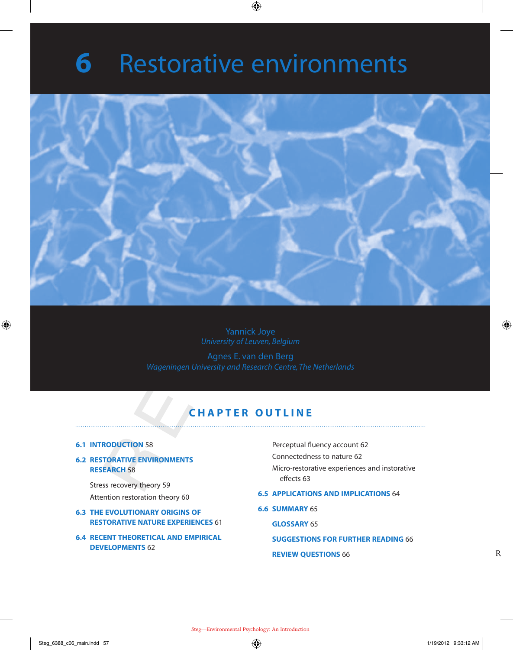# **6** Restorative environments

 $\mathbin{\textcircled{\small{-}}}$ 



#### **CHAPTER OUTLINE**

#### **6.1 INTRODUCTION** 58

⊕

**6.2 RESTORATIVE ENVIRONMENTS RESEARCH** 58

> Stress recovery theory 59 Attention restoration theory 60

- **6.3 THE EVOLUTIONARY ORIGINS OF RESTORATIVE NATURE EXPERIENCES** 61
- **6.4 RECENT THEORETICAL AND EMPIRICAL DEVELOPMENTS** 62

Perceptual fluency account 62

Connectedness to nature 62

Micro-restorative experiences and instorative effects 63

- **6.5 APPLICATIONS AND IMPLICATIONS** 64
- **6.6 SUMMARY** 65

**GLOSSARY** 65

**SUGGESTIONS FOR FURTHER READING** 66  **REVIEW QUESTIONS** 66

 $R$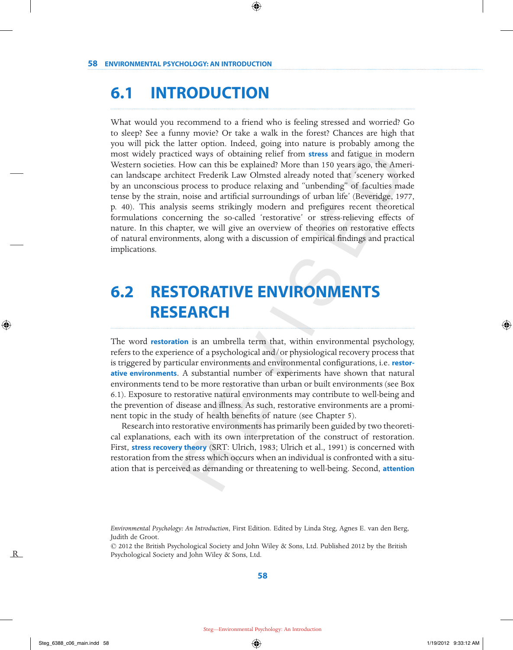### **6.1 Introduction**

ced ways of obtaining relief from stress and fatigue in mode<br>How can this be explained? More than 150 years ago, the Ame<br>ditect Frederik Law Olmsted already noted tha 'scenery work<br>process to produce relaxing and "unbendin What would you recommend to a friend who is feeling stressed and worried? Go to sleep? See a funny movie? Or take a walk in the forest? Chances are high that you will pick the latter option. Indeed, going into nature is probably among the most widely practiced ways of obtaining relief from **stress** and fatigue in modern Western societies. How can this be explained? More than 150 years ago, the American landscape architect Frederik Law Olmsted already noted that 'scenery worked by an unconscious process to produce relaxing and "unbending" of faculties made tense by the strain, noise and artificial surroundings of urban life' (Beveridge, 1977, p. 40). This analysis seems strikingly modern and prefigures recent theoretical formulations concerning the so-called 'restorative' or stress-relieving effects of nature. In this chapter, we will give an overview of theories on restorative effects of natural environments, along with a discussion of empirical findings and practical implications.

⊕

# **6.2 Restorative Environments Research**

The word **restoration** is an umbrella term that, within environmental psychology, refers to the experience of a psychological and/or physiological recovery process that is triggered by particular environments and environmental configurations, i.e. **restorative environments**. A substantial number of experiments have shown that natural environments tend to be more restorative than urban or built environments (see Box 6.1). Exposure to restorative natural environments may contribute to well-being and the prevention of disease and illness. As such, restorative environments are a prominent topic in the study of health benefits of nature (see Chapter 5).

Research into restorative environments has primarily been guided by two theoretical explanations, each with its own interpretation of the construct of restoration. First, **stress recovery theory** (SRT: Ulrich, 1983; Ulrich et al., 1991) is concerned with restoration from the stress which occurs when an individual is confronted with a situation that is perceived as demanding or threatening to well-being. Second, **attention** 

© 2012 the British Psychological Society and John Wiley & Sons, Ltd. Published 2012 by the British Psychological Society and John Wiley & Sons, Ltd.

**58**

R

*Environmental Psychology: An Introduction*, First Edition. Edited by Linda Steg, Agnes E. van den Berg, Judith de Groot.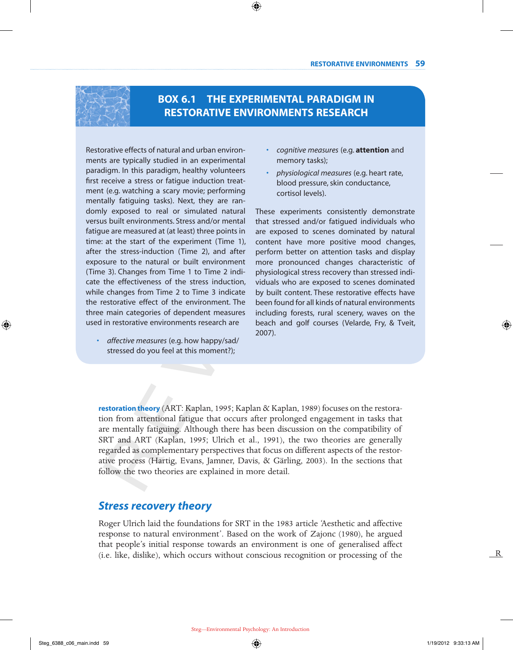

#### **BOX 6.1 The Experimental Paradigm in Restorative Environments Research**

⊕

praitive effects or natural and urban environ-<br>
respective a state typically studied in an experimental<br>
in emmory tasks);<br>
digm. In this paradigm, healthy volunteers<br>
ceceive a a tress or fatigue induction treat-<br>
lood pr Restorative effects of natural and urban environments are typically studied in an experimental paradigm. In this paradigm, healthy volunteers first receive a stress or fatigue induction treatment (e.g. watching a scary movie; performing mentally fatiguing tasks). Next, they are randomly exposed to real or simulated natural versus built environments. Stress and/or mental fatigue are measured at (at least) three points in time: at the start of the experiment (Time 1), after the stress-induction (Time 2), and after exposure to the natural or built environment (Time 3). Changes from Time 1 to Time 2 indicate the effectiveness of the stress induction, while changes from Time 2 to Time 3 indicate the restorative effect of the environment. The three main categories of dependent measures used in restorative environments research are

• *affective measures* (e.g. how happy/sad/ stressed do you feel at this moment?);

- *cognitive measures* (e.g. **attention** and memory tasks);
- *physiological measures* (e.g. heart rate, blood pressure, skin conductance, cortisol levels).

These experiments consistently demonstrate that stressed and/or fatigued individuals who are exposed to scenes dominated by natural content have more positive mood changes, perform better on attention tasks and display more pronounced changes characteristic of physiological stress recovery than stressed individuals who are exposed to scenes dominated by built content. These restorative effects have been found for all kinds of natural environments including forests, rural scenery, waves on the beach and golf courses (Velarde, Fry, & Tveit, 2007).

**restoration theory** (ART: Kaplan, 1995; Kaplan & Kaplan, 1989) focuses on the restoration from attentional fatigue that occurs after prolonged engagement in tasks that are mentally fatiguing. Although there has been discussion on the compatibility of SRT and ART (Kaplan, 1995; Ulrich et al., 1991), the two theories are generally regarded as complementary perspectives that focus on different aspects of the restorative process (Hartig, Evans, Jamner, Davis, & Gärling, 2003). In the sections that follow the two theories are explained in more detail.

#### *Stress recovery theory*

Roger Ulrich laid the foundations for SRT in the 1983 article 'Aesthetic and affective response to natural environment'. Based on the work of Zajonc (1980), he argued that people's initial response towards an environment is one of generalised affect (i.e. like, dislike), which occurs without conscious recognition or processing of the

⊕

 $R$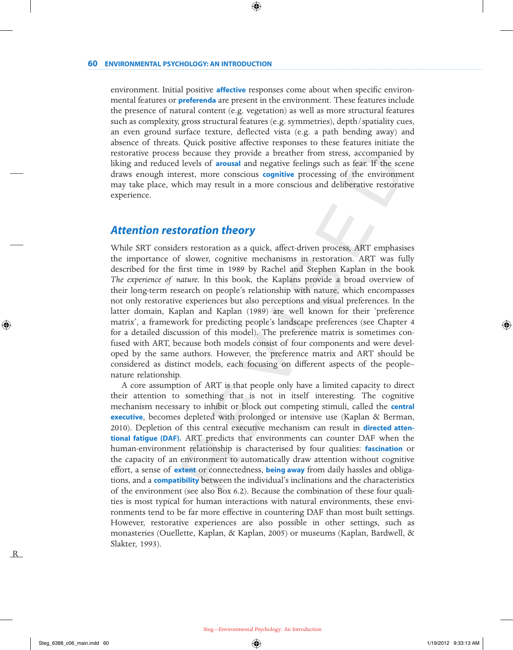environment. Initial positive **affective** responses come about when specific environmental features or **preferenda** are present in the environment. These features include the presence of natural content (e.g. vegetation) as well as more structural features such as complexity, gross structural features (e.g. symmetries), depth/spatiality cues, an even ground surface texture, deflected vista (e.g. a path bending away) and absence of threats. Quick positive affective responses to these features initiate the restorative process because they provide a breather from stress, accompanied by liking and reduced levels of **arousal** and negative feelings such as fear. If the scene draws enough interest, more conscious **cognitive** processing of the environment may take place, which may result in a more conscious and deliberative restorative experience.

 $\bigcirc$ 

#### *Attention restoration theory*

because they provide a breather from stress, accompanied<br>levels of avouasl and negative feelings such as fear. If the sec<br>terst, more conscious cognitive processing of the environmencies,<br>more conscious cognitive processin While SRT considers restoration as a quick, affect-driven process, ART emphasises the importance of slower, cognitive mechanisms in restoration. ART was fully described for the first time in 1989 by Rachel and Stephen Kaplan in the book *The experience of nature.* In this book, the Kaplans provide a broad overview of their long-term research on people's relationship with nature, which encompasses not only restorative experiences but also perceptions and visual preferences. In the latter domain, Kaplan and Kaplan (1989) are well known for their 'preference matrix', a framework for predicting people's landscape preferences (see Chapter 4 for a detailed discussion of this model). The preference matrix is sometimes confused with ART, because both models consist of four components and were developed by the same authors. However, the preference matrix and ART should be considered as distinct models, each focusing on different aspects of the people– nature relationship.

A core assumption of ART is that people only have a limited capacity to direct their attention to something that is not in itself interesting. The cognitive mechanism necessary to inhibit or block out competing stimuli, called the **central executive**, becomes depleted with prolonged or intensive use (Kaplan & Berman, 2010). Depletion of this central executive mechanism can result in **directed attentional fatigue (DAF).** ART predicts that environments can counter DAF when the human-environment relationship is characterised by four qualities: **fascination** or the capacity of an environment to automatically draw attention without cognitive effort, a sense of **extent** or connectedness, **being away** from daily hassles and obligations, and a **compatibility** between the individual's inclinations and the characteristics of the environment (see also Box 6.2). Because the combination of these four qualities is most typical for human interactions with natural environments, these environments tend to be far more effective in countering DAF than most built settings. However, restorative experiences are also possible in other settings, such as monasteries (Ouellette, Kaplan, & Kaplan, 2005) or museums (Kaplan, Bardwell, & Slakter, 1993).

R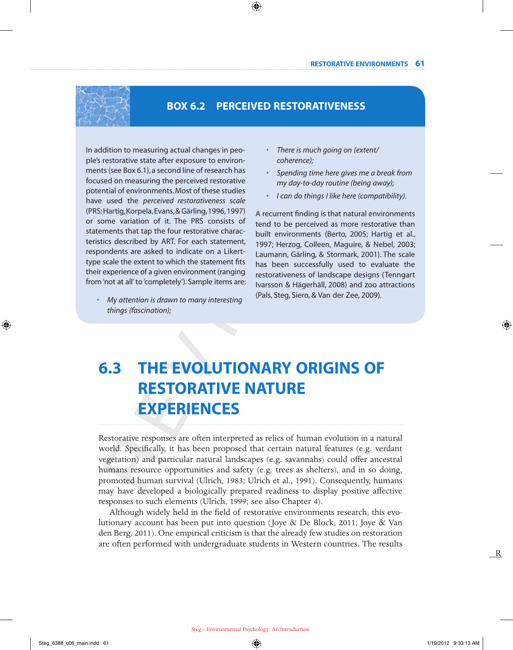

#### **BOX 6.2 Perceived Restorativeness**

⊕

attam a consumply actual changes in people and changes in the simular particular constanting actual constanting the perceived restorative storations of the perceived restorative and this simulated on measuring the perceive In addition to measuring actual changes in people's restorative state after exposure to environments (see Box 6.1), a second line of research has focused on measuring the perceived restorative potential of environments.Most of these studies have used the *perceived restorativeness scale* (PRS:Hartig,Korpela,Evans,&Gärling,1996,1997) or some variation of it. The PRS consists of statements that tap the four restorative characteristics described by ART. For each statement, respondents are asked to indicate on a Likerttype scale the extent to which the statement fits their experience of a given environment (ranging from'not at all'to'completely'). Sample items are:

• *My attention is drawn to many interesting things (fascination);*

- *There is much going on (extent/ coherence);*
- *Spending time here gives me a break from my day-to-day routine (being away);*
- *I can do things I like here (compatibility).*

A recurrent finding is that natural environments tend to be perceived as more restorative than built environments (Berto, 2005; Hartig et al., 1997; Herzog, Colleen, Maguire, & Nebel, 2003; Laumann, Gärling, & Stormark, 2001). The scale has been successfully used to evaluate the restorativeness of landscape designs (Tenngart Ivarsson & Hägerhäll, 2008) and zoo attractions (Pals, Steg, Siero, & Van der Zee, 2009).

# **6.3 The Evolutionary Origins of Restorative Nature Experiences**

Restorative responses are often interpreted as relics of human evolution in a natural world. Specifically, it has been proposed that certain natural features (e.g. verdant vegetation) and particular natural landscapes (e.g. savannahs) could offer ancestral humans resource opportunities and safety (e.g. trees as shelters), and in so doing, promoted human survival (Ulrich, 1983; Ulrich et al., 1991). Consequently, humans may have developed a biologically prepared readiness to display positive affective responses to such elements (Ulrich, 1999; see also Chapter 4).

Although widely held in the field of restorative environments research, this evolutionary account has been put into question (Joye & De Block, 2011; Joye & Van den Berg, 2011). One empirical criticism is that the already few studies on restoration are often performed with undergraduate students in Western countries. The results

⊕

R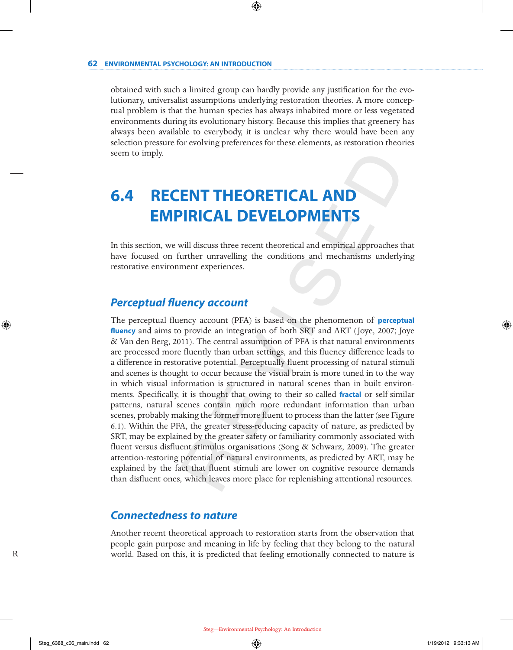#### **62 Environmental Psychology: An Introduction Restorative environments 63**

obtained with such a limited group can hardly provide any justification for the evolutionary, universalist assumptions underlying restoration theories. A more conceptual problem is that the human species has always inhabited more or less vegetated environments during its evolutionary history. Because this implies that greenery has always been available to everybody, it is unclear why there would have been any selection pressure for evolving preferences for these elements, as restoration theories seem to imply.

⊕

# **6.4 Recent Theoretical and Empirical Developments**

In this section, we will discuss three recent theoretical and empirical approaches that have focused on further unravelling the conditions and mechanisms underlying restorative environment experiences.

#### **Perceptual fluency account**

**ENT THEORETICAL AND**<br> **ENT THEORETICAL AND**<br>
Will discuss three recent theoretical and empirical approaches the<br>
urther unravelling the conditions and mechanisms underly<br>
urther unravelling the conditions and mechanisms u The perceptual fluency account (PFA) is based on the phenomenon of **perceptual fluency** and aims to provide an integration of both SRT and ART (Joye, 2007; Joye & Van den Berg, 2011). The central assumption of PFA is that natural environments are processed more fluently than urban settings, and this fluency difference leads to a difference in restorative potential. Perceptually fluent processing of natural stimuli and scenes is thought to occur because the visual brain is more tuned in to the way in which visual information is structured in natural scenes than in built environments. Specifically, it is thought that owing to their so-called **fractal** or self-similar patterns, natural scenes contain much more redundant information than urban scenes, probably making the former more fluent to process than the latter (see Figure 6.1). Within the PFA, the greater stress-reducing capacity of nature, as predicted by SRT, may be explained by the greater safety or familiarity commonly associated with fluent versus disfluent stimulus organisations (Song & Schwarz, 2009). The greater attention-restoring potential of natural environments, as predicted by ART, may be explained by the fact that fluent stimuli are lower on cognitive resource demands than disfluent ones, which leaves more place for replenishing attentional resources.

#### *Connectedness to nature*

Another recent theoretical approach to restoration starts from the observation that people gain purpose and meaning in life by feeling that they belong to the natural world. Based on this, it is predicted that feeling emotionally connected to nature is

⊕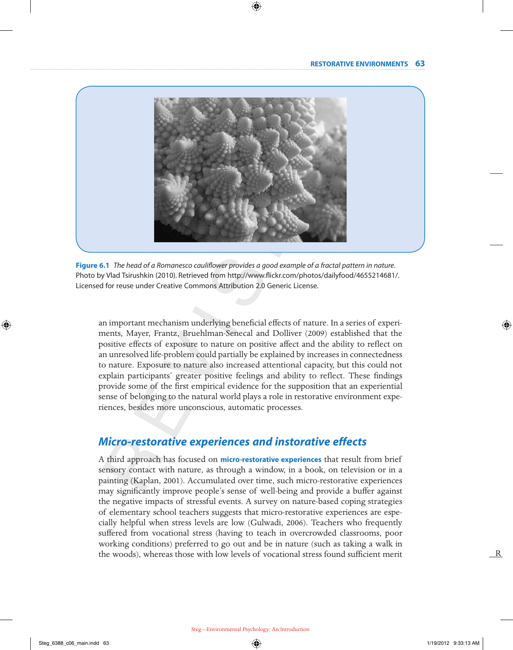#### **RESTORATIVE ENVIRONMENTS 63**



**Figure 6.1** *The head of a Romanesco cauliflower provides a good example of a fractal pattern in nature*. Photo by Vlad Tsirushkin (2010). Retrieved from http://www.flickr.com/photos/dailyfood/4655214681/. Licensed for reuse under Creative Commons Attribution 2.0 Generic License.

an important mechanism underlying beneficial effects of nature. In a series of experiments, Mayer, Frantz, Bruehlman-Senecal and Dolliver (2009) established that the positive effects of exposure to nature on positive affect and the ability to reflect on an unresolved life-problem could partially be explained by increases in connectedness to nature. Exposure to nature also increased attentional capacity, but this could not explain participants' greater positive feelings and ability to reflect. These findings provide some of the first empirical evidence for the supposition that an experiential sense of belonging to the natural world plays a role in restorative environment experiences, besides more unconscious, automatic processes.

#### *Micro-restorative experiences and instorative effects*

A third approach has focused on **micro-restorative experiences** that result from brief sensory contact with nature, as through a window, in a book, on television or in a painting (Kaplan, 2001). Accumulated over time, such micro-restorative experiences may significantly improve people's sense of well-being and provide a buffer against the negative impacts of stressful events. A survey on nature-based coping strategies of elementary school teachers suggests that micro-restorative experiences are especially helpful when stress levels are low (Gulwadi, 2006). Teachers who frequently suffered from vocational stress (having to teach in overcrowded classrooms, poor working conditions) preferred to go out and be in nature (such as taking a walk in the woods), whereas those with low levels of vocational stress found sufficient merit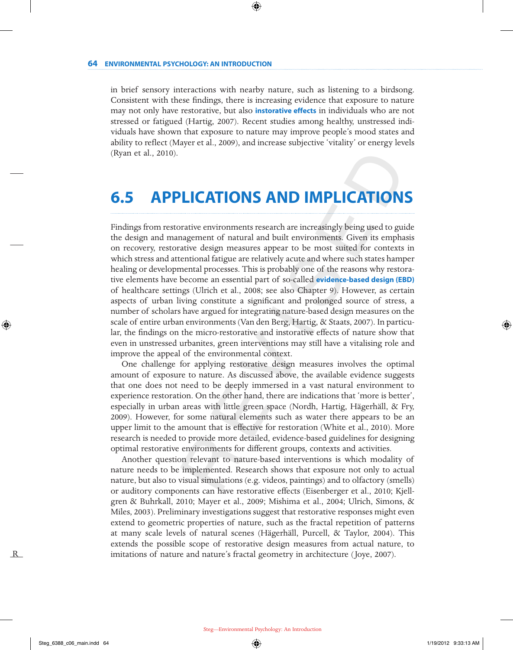in brief sensory interactions with nearby nature, such as listening to a birdsong. Consistent with these findings, there is increasing evidence that exposure to nature may not only have restorative, but also **instorative effects** in individuals who are not stressed or fatigued (Hartig, 2007). Recent studies among healthy, unstressed individuals have shown that exposure to nature may improve people's mood states and ability to reflect (Mayer et al., 2009), and increase subjective 'vitality' or energy levels (Ryan et al., 2010).

⊕

## **6.5 Applications and Implications**

**LICATIONS AND IMPLICATION**<br> **LICATIONS AND IMPLICATION**<br> **Traitive environments research are increasingly being used to guing<br>
aragement of natural and built environments. Given its empha<br>
ative design measures appear to** Findings from restorative environments research are increasingly being used to guide the design and management of natural and built environments. Given its emphasis on recovery, restorative design measures appear to be most suited for contexts in which stress and attentional fatigue are relatively acute and where such states hamper healing or developmental processes. This is probably one of the reasons why restorative elements have become an essential part of so-called **evidence-based design (EBD)** of healthcare settings (Ulrich et al., 2008; see also Chapter 9). However, as certain aspects of urban living constitute a significant and prolonged source of stress, a number of scholars have argued for integrating nature-based design measures on the scale of entire urban environments (Van den Berg, Hartig, & Staats, 2007). In particular, the findings on the micro-restorative and instorative effects of nature show that even in unstressed urbanites, green interventions may still have a vitalising role and improve the appeal of the environmental context.

One challenge for applying restorative design measures involves the optimal amount of exposure to nature. As discussed above, the available evidence suggests that one does not need to be deeply immersed in a vast natural environment to experience restoration. On the other hand, there are indications that 'more is better', especially in urban areas with little green space (Nordh, Hartig, Hägerhäll, & Fry, 2009). However, for some natural elements such as water there appears to be an upper limit to the amount that is effective for restoration (White et al., 2010). More research is needed to provide more detailed, evidence-based guidelines for designing optimal restorative environments for different groups, contexts and activities.

Another question relevant to nature-based interventions is which modality of nature needs to be implemented. Research shows that exposure not only to actual nature, but also to visual simulations (e.g. videos, paintings) and to olfactory (smells) or auditory components can have restorative effects (Eisenberger et al., 2010; Kjellgren & Buhrkall, 2010; Mayer et al., 2009; Mishima et al., 2004; Ulrich, Simons, & Miles, 2003). Preliminary investigations suggest that restorative responses might even extend to geometric properties of nature, such as the fractal repetition of patterns at many scale levels of natural scenes (Hägerhäll, Purcell, & Taylor, 2004). This extends the possible scope of restorative design measures from actual nature, to imitations of nature and nature's fractal geometry in architecture (Joye, 2007).

R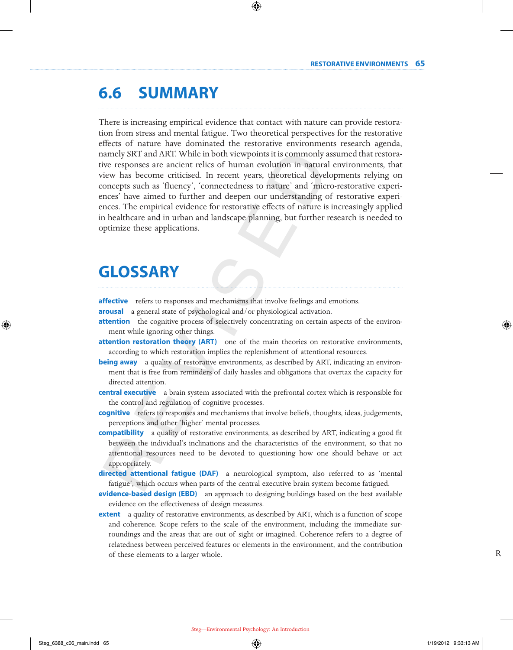### **6.6 Summary**

amely SRT and ART. While in both viewpoints it is commonly a<br>ser responses are ancient relies of human evolution in natural<br>view has become criticised. In mecent years, theoretical devel<br>oncepts such as 'fluency', 'connect There is increasing empirical evidence that contact with nature can provide restoration from stress and mental fatigue. Two theoretical perspectives for the restorative effects of nature have dominated the restorative environments research agenda, namely SRT and ART. While in both viewpoints it is commonly assumed that restorative responses are ancient relics of human evolution in natural environments, that view has become criticised. In recent years, theoretical developments relying on concepts such as 'fluency', 'connectedness to nature' and 'micro-restorative experiences' have aimed to further and deepen our understanding of restorative experiences. The empirical evidence for restorative effects of nature is increasingly applied in healthcare and in urban and landscape planning, but further research is needed to optimize these applications.

⊕

## **Glossary**

**affective** refers to responses and mechanisms that involve feelings and emotions.

**arousal** a general state of psychological and/or physiological activation.

**attention** the cognitive process of selectively concentrating on certain aspects of the environment while ignoring other things.

**attention restoration theory (ART)** one of the main theories on restorative environments, according to which restoration implies the replenishment of attentional resources.

**being away** a quality of restorative environments, as described by ART, indicating an environment that is free from reminders of daily hassles and obligations that overtax the capacity for directed attention.

**central executive** a brain system associated with the prefrontal cortex which is responsible for the control and regulation of cognitive processes.

**cognitive** refers to responses and mechanisms that involve beliefs, thoughts, ideas, judgements, perceptions and other 'higher' mental processes.

**compatibility** a quality of restorative environments, as described by ART, indicating a good fit between the individual's inclinations and the characteristics of the environment, so that no attentional resources need to be devoted to questioning how one should behave or act appropriately.

**directed attentional fatigue (DAF)** a neurological symptom, also referred to as 'mental fatigue', which occurs when parts of the central executive brain system become fatigued.

**evidence-based design (EBD)** an approach to designing buildings based on the best available evidence on the effectiveness of design measures.

**extent** a quality of restorative environments, as described by ART, which is a function of scope and coherence. Scope refers to the scale of the environment, including the immediate surroundings and the areas that are out of sight or imagined. Coherence refers to a degree of relatedness between perceived features or elements in the environment, and the contribution of these elements to a larger whole.